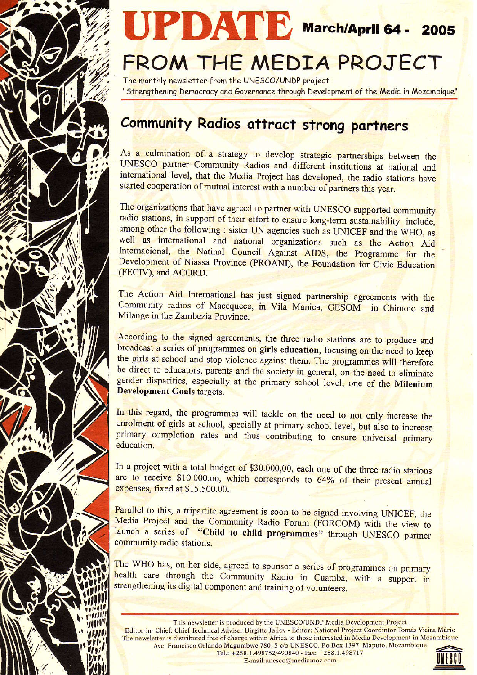



# FROM THE MEDIA PROJECT

The monthly newsletter from the UNESCO/UNDP project: "Strengthening Democracy and Governance through Development of the Media in Mozambique"

## **Community Radios attract strong partners**

As a culmination of a strategy to develop strategic partnerships between the UNESCO partner Community Radios and different institutions at national and international level, that the Media Project has developed, the radio stations have started cooperation of mutual interest with a number of partners this year.

The organizations that have agreed to partner with UNESCO supported community radio stations, in support of their effort to ensure long-term sustainability include, among other the following : sister UN agencies such as UNICEF and the WHO, as well as international and national organizations such as the Action Aid Internacional, the Natinal Council Against AIDS, the Programme for the Development of Niassa Province (PROANI), the Foundation for Civic Education (FECIV), and ACORD.

The Action Aid International has just signed partnership agreements with the Community radios of Macequece, in Vila Manica, GESOM in Chimoio and Milange in the Zambezia Province.

According to the signed agreements, the three radio stations are to produce and broadcast a series of programmes on girls education, focusing on the need to keep the girls at school and stop violence against them. The programmes will therefore be direct to educators, parents and the society in general, on the need to eliminate gender disparities, especially at the primary school level, one of the Milenium **Development Goals targets.** 

In this regard, the programmes will tackle on the need to not only increase the enrolment of girls at school, specially at primary school level, but also to increase primary completion rates and thus contributing to ensure universal primary education.

In a project with a total budget of \$30.000,00, each one of the three radio stations are to receive \$10.000.00, which corresponds to 64% of their present annual expenses, fixed at \$15,500.00.

Parallel to this, a tripartite agreement is soon to be signed involving UNICEF, the Media Project and the Community Radio Forum (FORCOM) with the view to launch a series of "Child to child programmes" through UNESCO partner community radio stations.

The WHO has, on her side, agreed to sponsor a series of programmes on primary health care through the Community Radio in Cuamba, with a support in strengthening its digital component and training of volunteers.

This newsletter is produced by the UNESCO/UNDP Media Development Project Editor-in- Chief: Chief Technical Adviser Birgitte Jallov - Editor: National Project Coordintor Tomás Vieira Mário The newsletter is distributed free of charge within Africa to those interested in Media Development in Mozambique Ave. Francisco Orlando Magumbwe 780, 5 c/o UNESCO. P.o.Box 1397, Maputo, Mozambique Tel.: +258.1.498752/490840 - Fax: +258.1.498717

E-mail:unesco@mediamoz.com